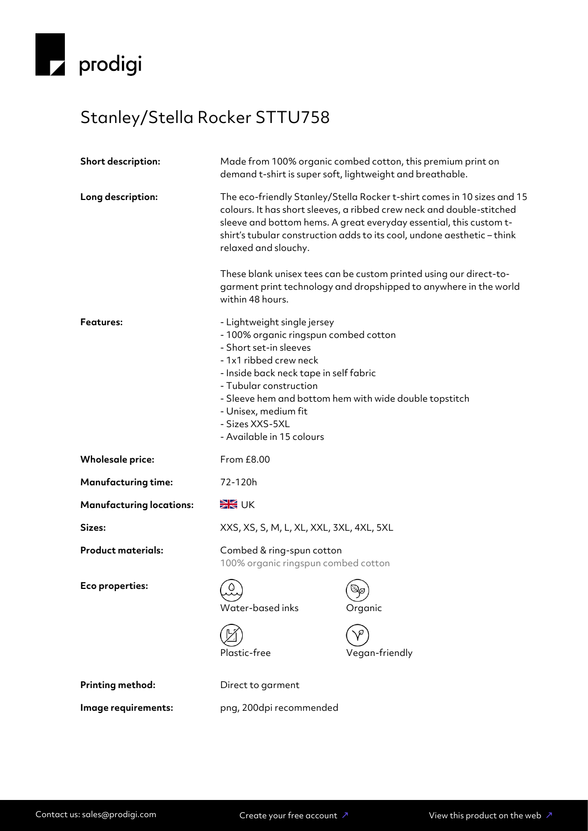

## Stanley/Stella Rocker STTU758

| <b>Short description:</b>       | Made from 100% organic combed cotton, this premium print on<br>demand t-shirt is super soft, lightweight and breathable.                                                                                                                                                                                                       |                                                                                                                                         |
|---------------------------------|--------------------------------------------------------------------------------------------------------------------------------------------------------------------------------------------------------------------------------------------------------------------------------------------------------------------------------|-----------------------------------------------------------------------------------------------------------------------------------------|
| Long description:               | The eco-friendly Stanley/Stella Rocker t-shirt comes in 10 sizes and 15<br>colours. It has short sleeves, a ribbed crew neck and double-stitched<br>sleeve and bottom hems. A great everyday essential, this custom t-<br>shirt's tubular construction adds to its cool, undone aesthetic - think<br>relaxed and slouchy.      |                                                                                                                                         |
|                                 | within 48 hours.                                                                                                                                                                                                                                                                                                               | These blank unisex tees can be custom printed using our direct-to-<br>garment print technology and dropshipped to anywhere in the world |
| Features:                       | - Lightweight single jersey<br>- 100% organic ringspun combed cotton<br>- Short set-in sleeves<br>- 1x1 ribbed crew neck<br>- Inside back neck tape in self fabric<br>- Tubular construction<br>- Sleeve hem and bottom hem with wide double topstitch<br>- Unisex, medium fit<br>- Sizes XXS-5XL<br>- Available in 15 colours |                                                                                                                                         |
| <b>Wholesale price:</b>         | From £8.00                                                                                                                                                                                                                                                                                                                     |                                                                                                                                         |
| <b>Manufacturing time:</b>      | 72-120h                                                                                                                                                                                                                                                                                                                        |                                                                                                                                         |
| <b>Manufacturing locations:</b> | <b>SK</b> UK                                                                                                                                                                                                                                                                                                                   |                                                                                                                                         |
| Sizes:                          | XXS, XS, S, M, L, XL, XXL, 3XL, 4XL, 5XL                                                                                                                                                                                                                                                                                       |                                                                                                                                         |
| <b>Product materials:</b>       | Combed & ring-spun cotton<br>100% organic ringspun combed cotton                                                                                                                                                                                                                                                               |                                                                                                                                         |
| Eco properties:                 | Water-based inks<br>Plastic-free                                                                                                                                                                                                                                                                                               | Organic<br>Vegan-friendly                                                                                                               |
| <b>Printing method:</b>         | Direct to garment                                                                                                                                                                                                                                                                                                              |                                                                                                                                         |
| Image requirements:             | png, 200dpi recommended                                                                                                                                                                                                                                                                                                        |                                                                                                                                         |